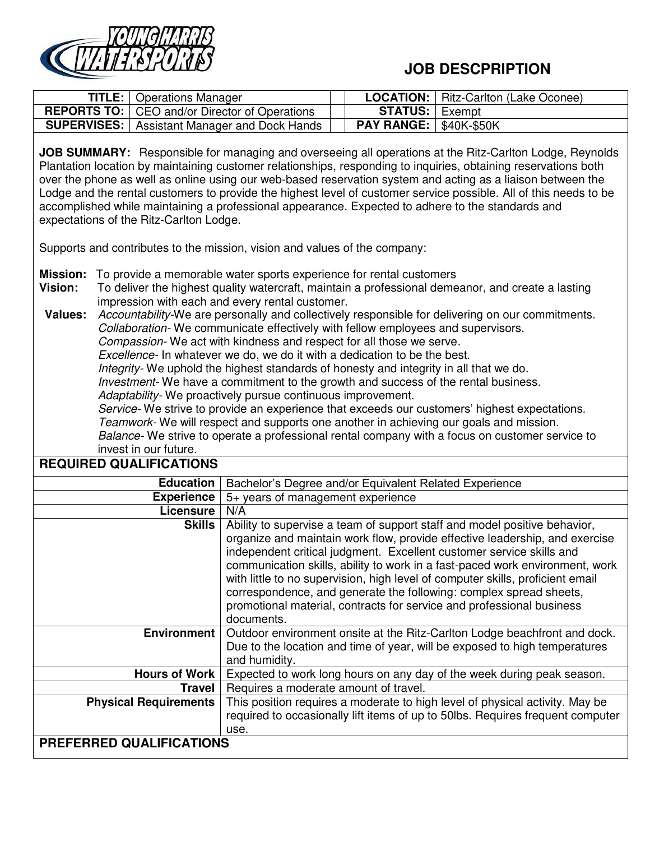

## **JOB DESCPRIPTION**

| <b>TITLE:</b>   Operations Manager                    |                                 | <b>LOCATION:</b>   Ritz-Carlton (Lake Oconee) |
|-------------------------------------------------------|---------------------------------|-----------------------------------------------|
| <b>REPORTS TO:</b> CEO and/or Director of Operations  | <b>STATUS:</b>   Exempt         |                                               |
| <b>SUPERVISES:</b>   Assistant Manager and Dock Hands | <b>PAY RANGE:   \$40K-\$50K</b> |                                               |

**JOB SUMMARY:** Responsible for managing and overseeing all operations at the Ritz-Carlton Lodge, Reynolds Plantation location by maintaining customer relationships, responding to inquiries, obtaining reservations both over the phone as well as online using our web-based reservation system and acting as a liaison between the Lodge and the rental customers to provide the highest level of customer service possible. All of this needs to be accomplished while maintaining a professional appearance. Expected to adhere to the standards and expectations of the Ritz-Carlton Lodge.

Supports and contributes to the mission, vision and values of the company:

- **Mission:** To provide a memorable water sports experience for rental customers
- **Vision:** To deliver the highest quality watercraft, maintain a professional demeanor, and create a lasting impression with each and every rental customer.

**Values:** *Accountability-*We are personally and collectively responsible for delivering on our commitments. *Collaboration-* We communicate effectively with fellow employees and supervisors. *Compassion-* We act with kindness and respect for all those we serve*. Excellence-* In whatever we do, we do it with a dedication to be the best. *Integrity-* We uphold the highest standards of honesty and integrity in all that we do. *Investment-* We have a commitment to the growth and success of the rental business. *Adaptability-* We proactively pursue continuous improvement. *Service-* We strive to provide an experience that exceeds our customers' highest expectations. *Teamwork-* We will respect and supports one another in achieving our goals and mission. *Balance-* We strive to operate a professional rental company with a focus on customer service to invest in our future. **REQUIRED QUALIFICATIONS** 

| <b>Education</b>             | Bachelor's Degree and/or Equivalent Related Experience                                                                                                                                                                                                                                                                                                                                                                                                                                                                                                          |
|------------------------------|-----------------------------------------------------------------------------------------------------------------------------------------------------------------------------------------------------------------------------------------------------------------------------------------------------------------------------------------------------------------------------------------------------------------------------------------------------------------------------------------------------------------------------------------------------------------|
| <b>Experience</b>            | 5+ years of management experience                                                                                                                                                                                                                                                                                                                                                                                                                                                                                                                               |
| Licensure                    | N/A                                                                                                                                                                                                                                                                                                                                                                                                                                                                                                                                                             |
| <b>Skills</b>                | Ability to supervise a team of support staff and model positive behavior,<br>organize and maintain work flow, provide effective leadership, and exercise<br>independent critical judgment. Excellent customer service skills and<br>communication skills, ability to work in a fast-paced work environment, work<br>with little to no supervision, high level of computer skills, proficient email<br>correspondence, and generate the following: complex spread sheets,<br>promotional material, contracts for service and professional business<br>documents. |
| <b>Environment</b>           | Outdoor environment onsite at the Ritz-Carlton Lodge beachfront and dock.<br>Due to the location and time of year, will be exposed to high temperatures<br>and humidity.                                                                                                                                                                                                                                                                                                                                                                                        |
| <b>Hours of Work</b>         | Expected to work long hours on any day of the week during peak season.                                                                                                                                                                                                                                                                                                                                                                                                                                                                                          |
| Travel                       | Requires a moderate amount of travel.                                                                                                                                                                                                                                                                                                                                                                                                                                                                                                                           |
| <b>Physical Requirements</b> | This position requires a moderate to high level of physical activity. May be<br>required to occasionally lift items of up to 50lbs. Requires frequent computer<br>use.                                                                                                                                                                                                                                                                                                                                                                                          |
| PREFERRED QUALIFICATIONS     |                                                                                                                                                                                                                                                                                                                                                                                                                                                                                                                                                                 |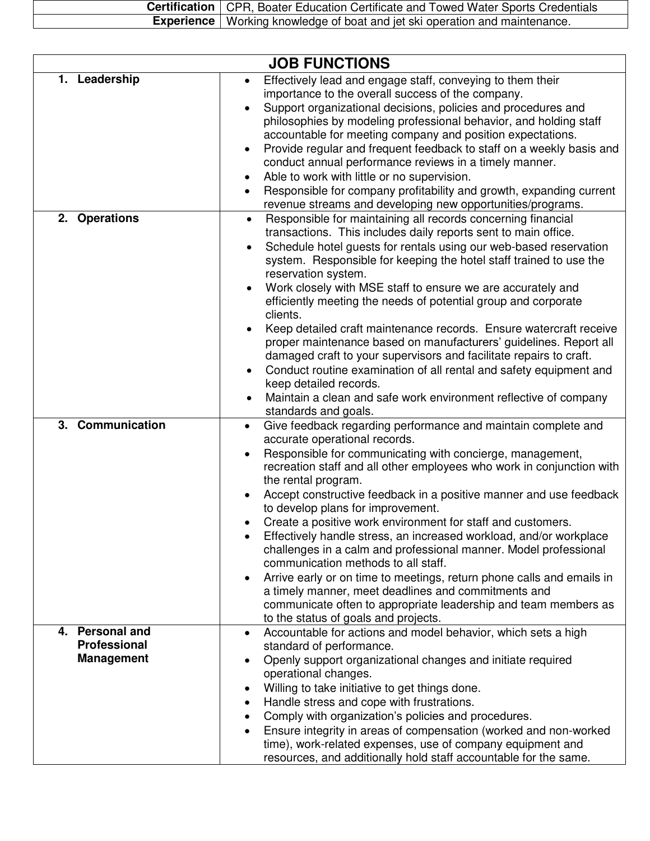| <b>Certification</b>   CPR, Boater Education Certificate and Towed Water Sports Credentials |  |
|---------------------------------------------------------------------------------------------|--|
| <b>Experience</b>   Working knowledge of boat and jet ski operation and maintenance.        |  |
|                                                                                             |  |

|                                                             | <b>JOB FUNCTIONS</b>                                                                                                                                                                                                                                                                                                                                                                                                                                                                                                                                                                                                                                                                                                                                                                                                                                                                                                                                                                                   |
|-------------------------------------------------------------|--------------------------------------------------------------------------------------------------------------------------------------------------------------------------------------------------------------------------------------------------------------------------------------------------------------------------------------------------------------------------------------------------------------------------------------------------------------------------------------------------------------------------------------------------------------------------------------------------------------------------------------------------------------------------------------------------------------------------------------------------------------------------------------------------------------------------------------------------------------------------------------------------------------------------------------------------------------------------------------------------------|
| 1. Leadership                                               | Effectively lead and engage staff, conveying to them their<br>$\bullet$<br>importance to the overall success of the company.<br>Support organizational decisions, policies and procedures and<br>philosophies by modeling professional behavior, and holding staff<br>accountable for meeting company and position expectations.<br>Provide regular and frequent feedback to staff on a weekly basis and<br>conduct annual performance reviews in a timely manner.<br>Able to work with little or no supervision.<br>Responsible for company profitability and growth, expanding current                                                                                                                                                                                                                                                                                                                                                                                                               |
| 2. Operations                                               | revenue streams and developing new opportunities/programs.<br>Responsible for maintaining all records concerning financial<br>$\bullet$<br>transactions. This includes daily reports sent to main office.<br>Schedule hotel guests for rentals using our web-based reservation<br>$\bullet$<br>system. Responsible for keeping the hotel staff trained to use the<br>reservation system.<br>Work closely with MSE staff to ensure we are accurately and<br>$\bullet$<br>efficiently meeting the needs of potential group and corporate<br>clients.<br>Keep detailed craft maintenance records. Ensure watercraft receive<br>$\bullet$<br>proper maintenance based on manufacturers' guidelines. Report all<br>damaged craft to your supervisors and facilitate repairs to craft.<br>Conduct routine examination of all rental and safety equipment and<br>$\bullet$<br>keep detailed records.<br>Maintain a clean and safe work environment reflective of company<br>$\bullet$<br>standards and goals. |
| 3. Communication                                            | Give feedback regarding performance and maintain complete and<br>$\bullet$<br>accurate operational records.<br>Responsible for communicating with concierge, management,<br>recreation staff and all other employees who work in conjunction with<br>the rental program.<br>Accept constructive feedback in a positive manner and use feedback<br>to develop plans for improvement.<br>Create a positive work environment for staff and customers.<br>Effectively handle stress, an increased workload, and/or workplace<br>challenges in a calm and professional manner. Model professional<br>communication methods to all staff.<br>Arrive early or on time to meetings, return phone calls and emails in<br>a timely manner, meet deadlines and commitments and<br>communicate often to appropriate leadership and team members as<br>to the status of goals and projects.                                                                                                                         |
| 4. Personal and<br><b>Professional</b><br><b>Management</b> | Accountable for actions and model behavior, which sets a high<br>$\bullet$<br>standard of performance.<br>Openly support organizational changes and initiate required<br>operational changes.<br>Willing to take initiative to get things done.<br>Handle stress and cope with frustrations.<br>$\bullet$<br>Comply with organization's policies and procedures.<br>$\bullet$<br>Ensure integrity in areas of compensation (worked and non-worked<br>time), work-related expenses, use of company equipment and<br>resources, and additionally hold staff accountable for the same.                                                                                                                                                                                                                                                                                                                                                                                                                    |